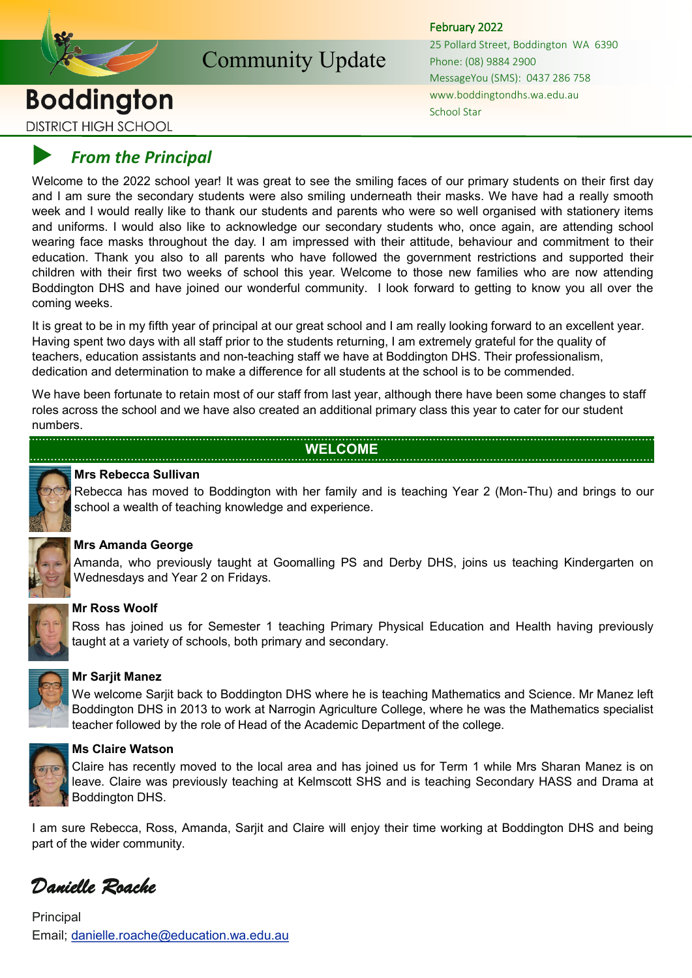

Community Update

# **Boddington DISTRICT HIGH SCHOOL**

February 2022

25 Pollard Street, Boddington WA 6390 Phone: (08) 9884 2900 MessageYou (SMS): 0437 286 758 www.boddingtondhs.wa.edu.au School Star

# *From the Principal*

Welcome to the 2022 school year! It was great to see the smiling faces of our primary students on their first day and I am sure the secondary students were also smiling underneath their masks. We have had a really smooth week and I would really like to thank our students and parents who were so well organised with stationery items and uniforms. I would also like to acknowledge our secondary students who, once again, are attending school wearing face masks throughout the day. I am impressed with their attitude, behaviour and commitment to their education. Thank you also to all parents who have followed the government restrictions and supported their children with their first two weeks of school this year. Welcome to those new families who are now attending Boddington DHS and have joined our wonderful community. I look forward to getting to know you all over the coming weeks.

It is great to be in my fifth year of principal at our great school and I am really looking forward to an excellent year. Having spent two days with all staff prior to the students returning, I am extremely grateful for the quality of teachers, education assistants and non-teaching staff we have at Boddington DHS. Their professionalism, dedication and determination to make a difference for all students at the school is to be commended.

We have been fortunate to retain most of our staff from last year, although there have been some changes to staff roles across the school and we have also created an additional primary class this year to cater for our student numbers.

## **WELCOME**



## **Mrs Rebecca Sullivan**

Rebecca has moved to Boddington with her family and is teaching Year 2 (Mon-Thu) and brings to our school a wealth of teaching knowledge and experience.



## **Mrs Amanda George**

Amanda, who previously taught at Goomalling PS and Derby DHS, joins us teaching Kindergarten on Wednesdays and Year 2 on Fridays.



## **Mr Ross Woolf**

Ross has joined us for Semester 1 teaching Primary Physical Education and Health having previously taught at a variety of schools, both primary and secondary.



## **Mr Sarjit Manez**

We welcome Sarjit back to Boddington DHS where he is teaching Mathematics and Science. Mr Manez left Boddington DHS in 2013 to work at Narrogin Agriculture College, where he was the Mathematics specialist teacher followed by the role of Head of the Academic Department of the college.



## **Ms Claire Watson**

Claire has recently moved to the local area and has joined us for Term 1 while Mrs Sharan Manez is on leave. Claire was previously teaching at Kelmscott SHS and is teaching Secondary HASS and Drama at Boddington DHS.

I am sure Rebecca, Ross, Amanda, Sarjit and Claire will enjoy their time working at Boddington DHS and being part of the wider community.

*Danielle Roache* 

Principal Email; danielle.roache@education.wa.edu.au